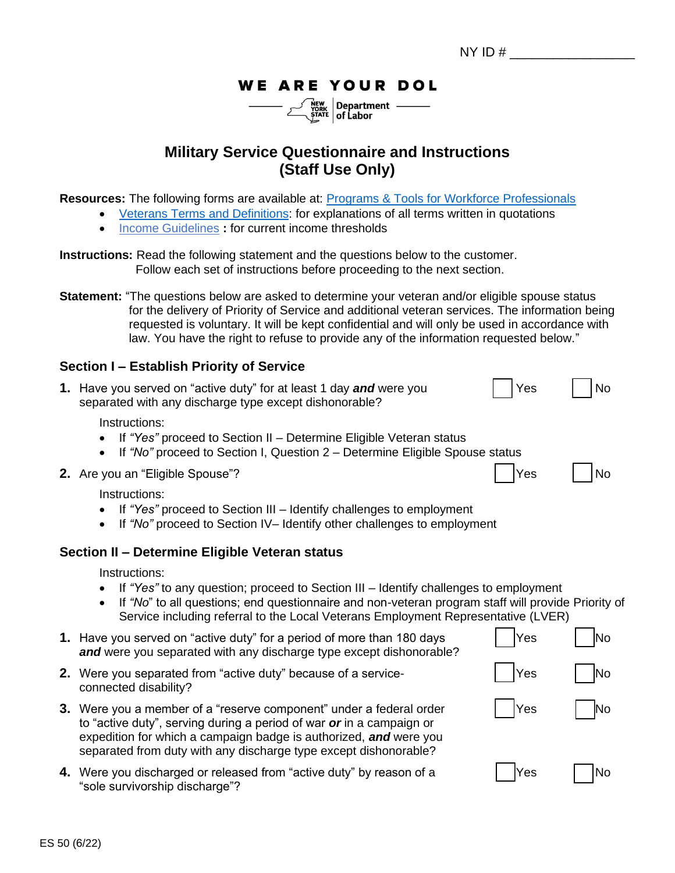# **WE ARE YOUR DOL**

| $\frac{\text{New} \text{New}}{\text{YORK}}$ Department |  |
|--------------------------------------------------------|--|
|                                                        |  |

# **Military Service Questionnaire and Instructions (Staff Use Only)**

**Resources:** The following forms are available at: [Programs & Tools for Workforce Professionals](https://dol.ny.gov/workforce-professionals-tools)

- [Veterans Terms and Definitions:](https://dol.ny.gov/system/files/documents/2022/06/vp-terms-and-definitions-2022.pdf) for explanations of all terms written in quotations
	- [Income Guidelines](https://dol.ny.gov/workforce-professionals-tools?f%5B0%5D=filter_term%3A801) **:** for current income thresholds

**Instructions:** Read the following statement and the questions below to the customer. Follow each set of instructions before proceeding to the next section.

**Statement:** "The questions below are asked to determine your veteran and/or eligible spouse status for the delivery of Priority of Service and additional veteran services. The information being requested is voluntary. It will be kept confidential and will only be used in accordance with law. You have the right to refuse to provide any of the information requested below."

#### **Section I – Establish Priority of Service**

| 1. Have you served on "active duty" for at least 1 day and were you | Yes | $\Box$ No |
|---------------------------------------------------------------------|-----|-----------|
| separated with any discharge type except dishonorable?              |     |           |

Instructions:

- If *"Yes"* proceed to Section II Determine Eligible Veteran status
- If *"No"* proceed to Section I, Question 2 Determine Eligible Spouse status
- **2.** Are you an "Eligible Spouse"? Yes Note 1, No. 2. Are you an "Eligible Spouse"?

Instructions:

- If *"Yes"* proceed to Section III Identify challenges to employment
- If *"No"* proceed to Section IV– Identify other challenges to employment

# **Section II – Determine Eligible Veteran status**

Instructions:

- If *"Yes"* to any question; proceed to Section III Identify challenges to employment
- If *"No*" to all questions; end questionnaire and non-veteran program staff will provide Priority of Service including referral to the Local Veterans Employment Representative (LVER)

| 1. Have you served on "active duty" for a period of more than 180 days<br>and were you separated with any discharge type except dishonorable?                                                                                                                                        | Yes        | INO |
|--------------------------------------------------------------------------------------------------------------------------------------------------------------------------------------------------------------------------------------------------------------------------------------|------------|-----|
| 2. Were you separated from "active duty" because of a service-<br>connected disability?                                                                                                                                                                                              | <b>Yes</b> |     |
| 3. Were you a member of a "reserve component" under a federal order<br>to "active duty", serving during a period of war or in a campaign or<br>expedition for which a campaign badge is authorized, and were you<br>separated from duty with any discharge type except dishonorable? | Yes        |     |
| 4. Were you discharged or released from "active duty" by reason of a<br>"sole survivorship discharge"?                                                                                                                                                                               | IYes       |     |